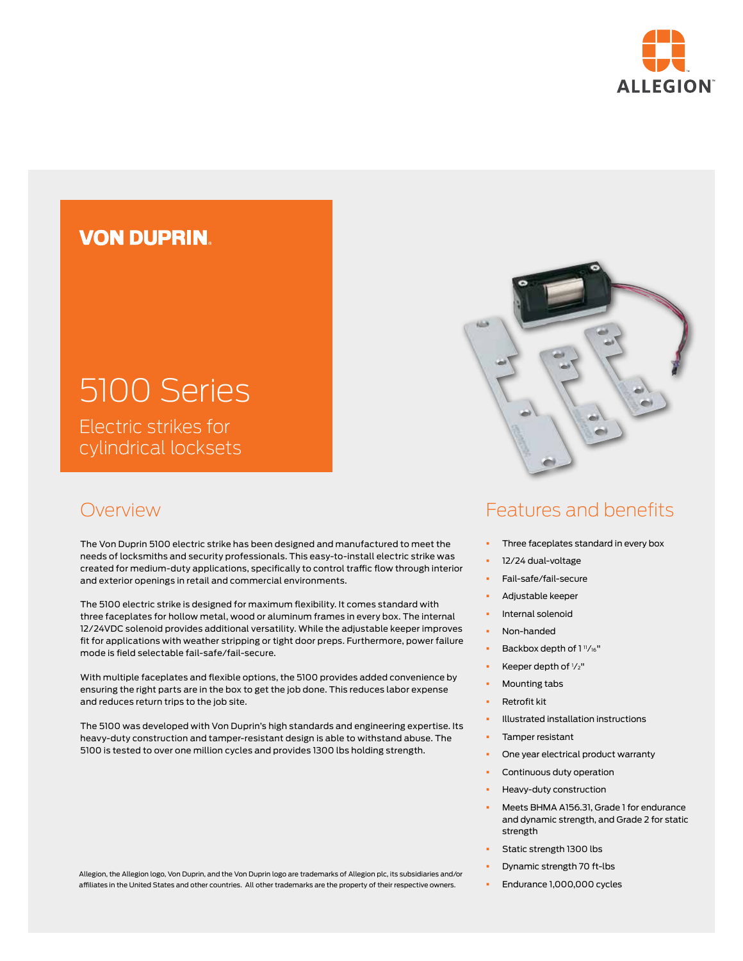

# **VON DUPRIN**

# 5100 Series Electric strikes for

cylindrical locksets

## Overview

The Von Duprin 5100 electric strike has been designed and manufactured to meet the needs of locksmiths and security professionals. This easy-to-install electric strike was created for medium-duty applications, specifically to control traffic flow through interior and exterior openings in retail and commercial environments.

The 5100 electric strike is designed for maximum flexibility. It comes standard with three faceplates for hollow metal, wood or aluminum frames in every box. The internal 12/24VDC solenoid provides additional versatility. While the adjustable keeper improves fit for applications with weather stripping or tight door preps. Furthermore, power failure mode is field selectable fail-safe/fail-secure.

With multiple faceplates and flexible options, the 5100 provides added convenience by ensuring the right parts are in the box to get the job done. This reduces labor expense and reduces return trips to the job site.

The 5100 was developed with Von Duprin's high standards and engineering expertise. Its heavy-duty construction and tamper-resistant design is able to withstand abuse. The 5100 is tested to over one million cycles and provides 1300 lbs holding strength.



# Features and benefits

- § Three faceplates standard in every box
- § 12/24 dual-voltage
- § Fail-safe/fail-secure
- § Adjustable keeper
- § Internal solenoid
- § Non-handed
- Backbox depth of 1"/16"
- Equal Keeper depth of  $1/z''$
- § Mounting tabs
- § Retrofit kit
- § Illustrated installation instructions
- Tamper resistant
- One year electrical product warranty
- Continuous duty operation
- Heavy-duty construction
- § Meets BHMA A156.31, Grade 1 for endurance and dynamic strength, and Grade 2 for static strength
- § Static strength 1300 lbs
- § Dynamic strength 70 ft-lbs
- § Endurance 1,000,000 cycles

Allegion, the Allegion logo, Von Duprin, and the Von Duprin logo are trademarks of Allegion plc, its subsidiaries and/or affiliates in the United States and other countries. All other trademarks are the property of their respective owners.